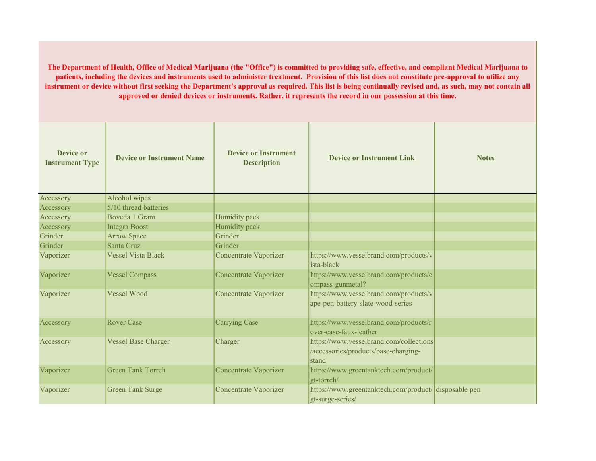The Department of Health, Office of Medical Marijuana (the "Office") is committed to providing safe, effective, and compliant Medical Marijuana to patients, including the devices and instruments used to administer treatment. Provision of this list does not constitute pre-approval to utilize any instrument or device without first seeking the Department's approval as required. This list is being continually revised and, as such, may not contain all approved or denied devices or instruments. Rather, it represents the record in our possession at this time.

| Device or<br><b>Instrument Type</b> | <b>Device or Instrument Name</b> | <b>Device or Instrument</b><br><b>Description</b> | <b>Device or Instrument Link</b>                                                         | <b>Notes</b> |
|-------------------------------------|----------------------------------|---------------------------------------------------|------------------------------------------------------------------------------------------|--------------|
| Accessory                           | Alcohol wipes                    |                                                   |                                                                                          |              |
| Accessory                           | 5/10 thread batteries            |                                                   |                                                                                          |              |
| Accessory                           | Boveda 1 Gram                    | Humidity pack                                     |                                                                                          |              |
| Accessory                           | <b>Integra Boost</b>             | Humidity pack                                     |                                                                                          |              |
| Grinder                             | <b>Arrow Space</b>               | Grinder                                           |                                                                                          |              |
| Grinder                             | Santa Cruz                       | Grinder                                           |                                                                                          |              |
| Vaporizer                           | <b>Vessel Vista Black</b>        | Concentrate Vaporizer                             | https://www.vesselbrand.com/products/v<br>ista-black                                     |              |
| Vaporizer                           | <b>Vessel Compass</b>            | <b>Concentrate Vaporizer</b>                      | https://www.vesselbrand.com/products/c<br>ompass-gunmetal?                               |              |
| Vaporizer                           | <b>Vessel Wood</b>               | <b>Concentrate Vaporizer</b>                      | https://www.vesselbrand.com/products/v<br>ape-pen-battery-slate-wood-series              |              |
| Accessory                           | <b>Rover Case</b>                | <b>Carrying Case</b>                              | https://www.vesselbrand.com/products/r<br>over-case-faux-leather                         |              |
| Accessory                           | <b>Vessel Base Charger</b>       | Charger                                           | https://www.vesselbrand.com/collections<br>/accessories/products/base-charging-<br>stand |              |
| Vaporizer                           | <b>Green Tank Torrch</b>         | Concentrate Vaporizer                             | https://www.greentanktech.com/product/<br>gt-torrch/                                     |              |
| Vaporizer                           | <b>Green Tank Surge</b>          | <b>Concentrate Vaporizer</b>                      | https://www.greentanktech.com/product/ disposable pen<br>gt-surge-series/                |              |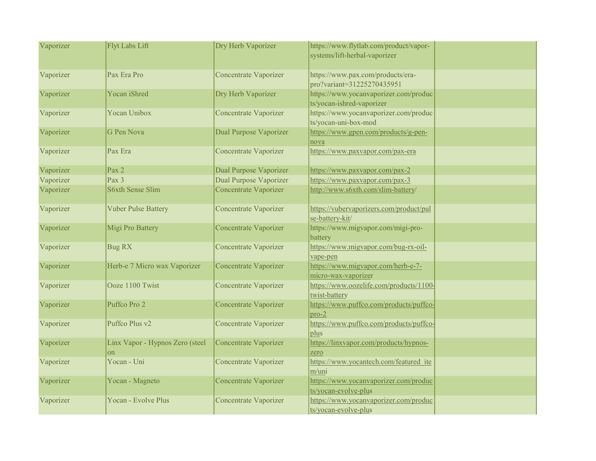| Vaporizer | Flyt Labs Lift                                 | Dry Herb Vaporizer            | https://www.flytlab.com/product/vapor-<br>systems/lift-herbal-vaporizer |  |
|-----------|------------------------------------------------|-------------------------------|-------------------------------------------------------------------------|--|
| Vaporizer | Pax Era Pro                                    | <b>Concentrate Vaporizer</b>  | https://www.pax.com/products/era-<br>pro?variant=31225270435951         |  |
| Vaporizer | Yocan iShred                                   | Dry Herb Vaporizer            | https://www.yocanvaporizer.com/produc<br>ts/yocan-ishred-vaporizer      |  |
| Vaporizer | <b>Yocan Unibox</b>                            | <b>Concentrate Vaporizer</b>  | https://www.yocanvaporizer.com/produc<br>ts/yocan-uni-box-mod           |  |
| Vaporizer | G Pen Nova                                     | Dual Purpose Vaporizer        | https://www.gpen.com/products/g-pen-<br>nova                            |  |
| Vaporizer | Pax Era                                        | Concentrate Vaporizer         | https://www.paxvapor.com/pax-era                                        |  |
| Vaporizer | Pax 2                                          | <b>Dual Purpose Vaporizer</b> | https://www.paxvapor.com/pax-2                                          |  |
| Vaporizer | Pax 3                                          | <b>Dual Purpose Vaporizer</b> | https://www.paxvapor.com/pax-3                                          |  |
| Vaporizer | <b>S6xth Sense Slim</b>                        | Concentrate Vaporizer         | http://www.s6xth.com/slim-battery/                                      |  |
| Vaporizer | <b>Vuber Pulse Battery</b>                     | <b>Concentrate Vaporizer</b>  | https://vubervaporizers.com/product/pul<br>se-battery-kit/              |  |
| Vaporizer | Migi Pro Battery                               | Concentrate Vaporizer         | https://www.migvapor.com/migi-pro-<br>battery                           |  |
| Vaporizer | <b>Bug RX</b>                                  | <b>Concentrate Vaporizer</b>  | https://www.migvapor.com/bug-rx-oil-<br>vape-pen                        |  |
| Vaporizer | Herb-e 7 Micro wax Vaporizer                   | <b>Concentrate Vaporizer</b>  | https://www.migvapor.com/herb-e-7-<br>micro-wax-vaporizer               |  |
| Vaporizer | Ooze 1100 Twist                                | <b>Concentrate Vaporizer</b>  | https://www.oozelife.com/products/1100-<br>twist-battery                |  |
| Vaporizer | Puffco Pro 2                                   | <b>Concentrate Vaporizer</b>  | https://www.puffco.com/products/puffco-<br>$pro-2$                      |  |
| Vaporizer | Puffco Plus v2                                 | Concentrate Vaporizer         | https://www.puffco.com/products/puffco-<br>plus                         |  |
| Vaporizer | Linx Vapor - Hypnos Zero (steel<br>$_{\rm on}$ | <b>Concentrate Vaporizer</b>  | https://linxvapor.com/products/hypnos-<br>zero                          |  |
| Vaporizer | Yocan - Uni                                    | <b>Concentrate Vaporizer</b>  | https://www.yocantech.com/featured ite<br>m/uni                         |  |
| Vaporizer | Yocan - Magneto                                | Concentrate Vaporizer         | https://www.yocanvaporizer.com/produc<br>ts/yocan-evolve-plus           |  |
| Vaporizer | Yocan - Evolve Plus                            | <b>Concentrate Vaporizer</b>  | https://www.yocanvaporizer.com/produc<br>ts/yocan-evolve-plus           |  |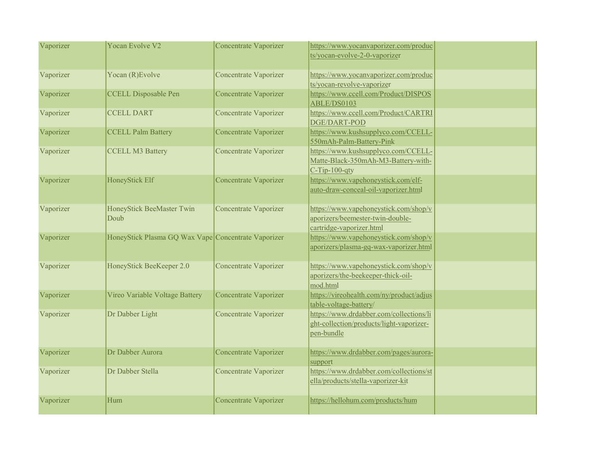| Vaporizer | Yocan Evolve V2                                     | Concentrate Vaporizer        | https://www.yocanvaporizer.com/produc<br>ts/yocan-evolve-2-0-vaporizer                                |  |
|-----------|-----------------------------------------------------|------------------------------|-------------------------------------------------------------------------------------------------------|--|
| Vaporizer | Yocan (R) Evolve                                    | <b>Concentrate Vaporizer</b> | https://www.yocanvaporizer.com/produc<br>ts/yocan-revolve-vaporizer                                   |  |
| Vaporizer | <b>CCELL Disposable Pen</b>                         | <b>Concentrate Vaporizer</b> | https://www.ccell.com/Product/DISPOS<br>ABLE/DS0103                                                   |  |
| Vaporizer | <b>CCELL DART</b>                                   | Concentrate Vaporizer        | https://www.ccell.com/Product/CARTRI<br>DGE/DART-POD                                                  |  |
| Vaporizer | <b>CCELL Palm Battery</b>                           | <b>Concentrate Vaporizer</b> | https://www.kushsupplyco.com/CCELL-<br>550mAh-Palm-Battery-Pink                                       |  |
| Vaporizer | <b>CCELL M3 Battery</b>                             | <b>Concentrate Vaporizer</b> | https://www.kushsupplyco.com/CCELL-<br>Matte-Black-350mAh-M3-Battery-with-<br>$C-Tip-100-qty$         |  |
| Vaporizer | HoneyStick Elf                                      | <b>Concentrate Vaporizer</b> | https://www.vapehoneystick.com/elf-<br>auto-draw-conceal-oil-vaporizer.html                           |  |
| Vaporizer | HoneyStick BeeMaster Twin<br>Doub                   | Concentrate Vaporizer        | https://www.vapehoneystick.com/shop/v<br>aporizers/beemester-twin-double-<br>cartridge-vaporizer.html |  |
| Vaporizer | HoneyStick Plasma GQ Wax Vape Concentrate Vaporizer |                              | https://www.vapehoneystick.com/shop/v<br>aporizers/plasma-gq-wax-vaporizer.html                       |  |
| Vaporizer | HoneyStick BeeKeeper 2.0                            | Concentrate Vaporizer        | https://www.vapehoneystick.com/shop/v<br>aporizers/the-beekeeper-thick-oil-<br>mod.html               |  |
| Vaporizer | Vireo Variable Voltage Battery                      | Concentrate Vaporizer        | https://vireohealth.com/ny/product/adjus<br>table-voltage-battery/                                    |  |
| Vaporizer | Dr Dabber Light                                     | <b>Concentrate Vaporizer</b> | https://www.drdabber.com/collections/li<br>ght-collection/products/light-vaporizer-<br>pen-bundle     |  |
| Vaporizer | Dr Dabber Aurora                                    | <b>Concentrate Vaporizer</b> | https://www.drdabber.com/pages/aurora-<br>support                                                     |  |
| Vaporizer | Dr Dabber Stella                                    | <b>Concentrate Vaporizer</b> | https://www.drdabber.com/collections/st<br>ella/products/stella-vaporizer-kit                         |  |
| Vaporizer | Hum                                                 | Concentrate Vaporizer        | https://hellohum.com/products/hum                                                                     |  |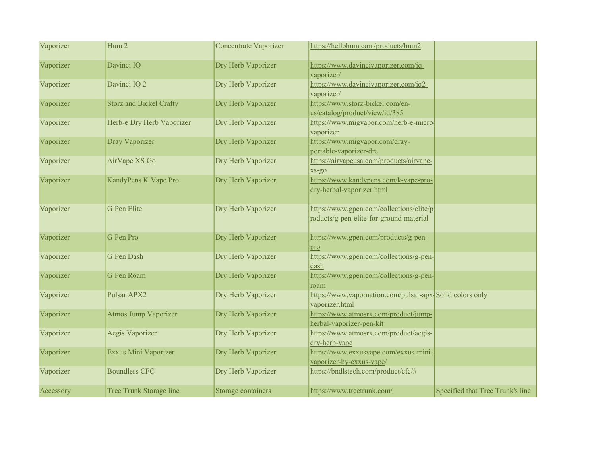| Vaporizer | Hum 2                          | <b>Concentrate Vaporizer</b> | https://hellohum.com/products/hum2                                                  |                                  |
|-----------|--------------------------------|------------------------------|-------------------------------------------------------------------------------------|----------------------------------|
| Vaporizer | Davinci IQ                     | Dry Herb Vaporizer           | https://www.davincivaporizer.com/iq-<br>vaporizer/                                  |                                  |
| Vaporizer | Davinci IQ 2                   | Dry Herb Vaporizer           | https://www.davincivaporizer.com/iq2-<br>vaporizer/                                 |                                  |
| Vaporizer | <b>Storz and Bickel Crafty</b> | Dry Herb Vaporizer           | https://www.storz-bickel.com/en-<br>us/catalog/product/view/id/385                  |                                  |
| Vaporizer | Herb-e Dry Herb Vaporizer      | Dry Herb Vaporizer           | https://www.migvapor.com/herb-e-micro-<br>vaporizer                                 |                                  |
| Vaporizer | Dray Vaporizer                 | Dry Herb Vaporizer           | https://www.migvapor.com/dray-<br>portable-vaporizer-dre                            |                                  |
| Vaporizer | AirVape XS Go                  | Dry Herb Vaporizer           | https://airvapeusa.com/products/airvape-<br>$XS-QO$                                 |                                  |
| Vaporizer | KandyPens K Vape Pro           | Dry Herb Vaporizer           | https://www.kandypens.com/k-vape-pro-<br>dry-herbal-vaporizer.html                  |                                  |
| Vaporizer | G Pen Elite                    | Dry Herb Vaporizer           | https://www.gpen.com/collections/elite/p<br>roducts/g-pen-elite-for-ground-material |                                  |
| Vaporizer | G Pen Pro                      | Dry Herb Vaporizer           | https://www.gpen.com/products/g-pen-<br>pro                                         |                                  |
| Vaporizer | G Pen Dash                     | Dry Herb Vaporizer           | https://www.gpen.com/collections/g-pen-<br>dash                                     |                                  |
| Vaporizer | G Pen Roam                     | Dry Herb Vaporizer           | https://www.gpen.com/collections/g-pen-<br>roam                                     |                                  |
| Vaporizer | Pulsar APX2                    | Dry Herb Vaporizer           | https://www.vapornation.com/pulsar-apx-Solid colors only<br>vaporizer.html          |                                  |
| Vaporizer | <b>Atmos Jump Vaporizer</b>    | Dry Herb Vaporizer           | https://www.atmosrx.com/product/jump-<br>herbal-vaporizer-pen-kit                   |                                  |
| Vaporizer | Aegis Vaporizer                | Dry Herb Vaporizer           | https://www.atmosrx.com/product/aegis-<br>dry-herb-vape                             |                                  |
| Vaporizer | Exxus Mini Vaporizer           | Dry Herb Vaporizer           | https://www.exxusvape.com/exxus-mini-<br>vaporizer-by-exxus-vape/                   |                                  |
| Vaporizer | <b>Boundless CFC</b>           | Dry Herb Vaporizer           | https://bndlstech.com/product/cfc/#                                                 |                                  |
| Accessory | Tree Trunk Storage line        | Storage containers           | https://www.treetrunk.com/                                                          | Specified that Tree Trunk's line |

of rolling trays are not approved,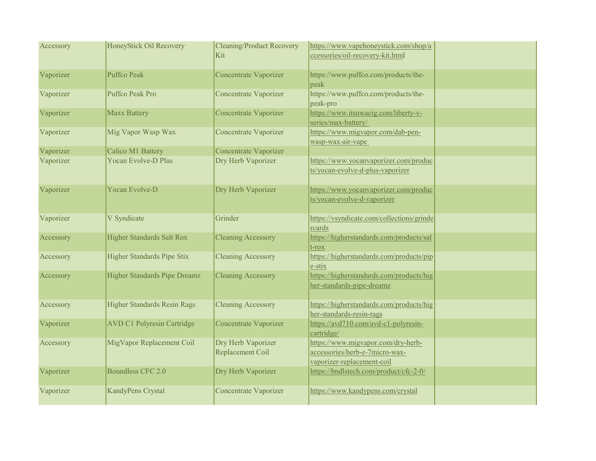| Accessory | HoneyStick Oil Recovery            | <b>Cleaning/Product Recovery</b><br>Kit | https://www.vapehoneystick.com/shop/a<br>ccessories/oil-recovery-kit.html                          |  |
|-----------|------------------------------------|-----------------------------------------|----------------------------------------------------------------------------------------------------|--|
| Vaporizer | Puffco Peak                        | Concentrate Vaporizer                   | https://www.puffco.com/products/the-<br>peak                                                       |  |
| Vaporizer | Puffco Peak Pro                    | <b>Concentrate Vaporizer</b>            | https://www.puffco.com/products/the-<br>peak-pro                                                   |  |
| Vaporizer | Maxx Battery                       | Concentrate Vaporizer                   | https://www.itsuwacig.com/liberty-v-<br>series/max-battery/                                        |  |
| Vaporizer | Mig Vapor Wasp Wax                 | <b>Concentrate Vaporizer</b>            | https://www.migvapor.com/dab-pen-<br>wasp-wax-air-vape                                             |  |
| Vaporizer | <b>Calico M1 Battery</b>           | <b>Concentrate Vaporizer</b>            |                                                                                                    |  |
| Vaporizer | <b>Yocan Evolve-D Plus</b>         | Dry Herb Vaporizer                      | https://www.yocanvaporizer.com/produc<br>ts/yocan-evolve-d-plus-vaporizer                          |  |
| Vaporizer | Yocan Evolve-D                     | Dry Herb Vaporizer                      | https://www.yocanvaporizer.com/produc<br>ts/yocan-evolve-d-vaporizer                               |  |
| Vaporizer | V Syndicate                        | Grinder                                 | https://vsyndicate.com/collections/grinde<br>rcards                                                |  |
| Accessory | Higher Standards Salt Rox          | <b>Cleaning Accessory</b>               | https://higherstandards.com/products/sal<br>$t$ - $r$ ox                                           |  |
| Accessory | Higher Standards Pipe Stix         | <b>Cleaning Accessory</b>               | https://higherstandards.com/products/pip<br>e-stix                                                 |  |
| Accessory | Higher Standards Pipe Dreamz       | <b>Cleaning Accessory</b>               | https://higherstandards.com/products/hig<br>her-standards-pipe-dreamz                              |  |
| Accessory | <b>Higher Standards Resin Rags</b> | <b>Cleaning Accessory</b>               | https://higherstandards.com/products/hig<br>her-standards-resin-rags                               |  |
| Vaporizer | <b>AVD C1 Polyresin Cartridge</b>  | <b>Concentrate Vaporizer</b>            | https://avd710.com/avd-c1-polyresin-<br>cartridge/                                                 |  |
| Accessory | MigVapor Replacement Coil          | Dry Herb Vaporizer<br>Replacement Coil  | https://www.migvapor.com/dry-herb-<br>accessories/herb-e-7micro-wax-<br>vaporizer-replacement-coil |  |
| Vaporizer | Boundless CFC 2.0                  | Dry Herb Vaporizer                      | https://bndlstech.com/product/cfc-2-0/                                                             |  |
| Vaporizer | KandyPens Crystal                  | <b>Concentrate Vaporizer</b>            | https://www.kandypens.com/crystal                                                                  |  |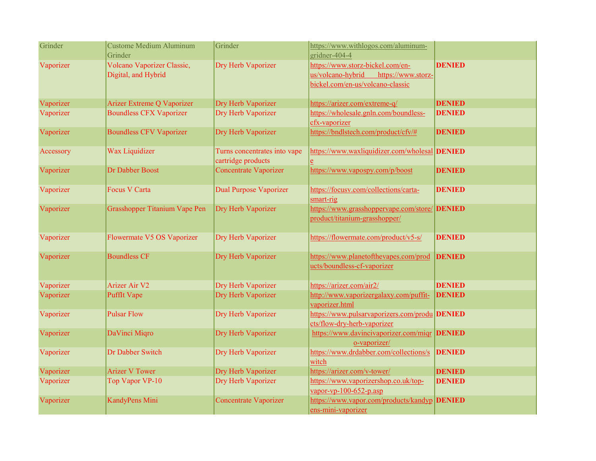| Grinder   | Custome Medium Aluminum<br>Grinder                | Grinder                                            | https://www.withlogos.com/aluminum-<br>gridner-404-4                                                            |               |
|-----------|---------------------------------------------------|----------------------------------------------------|-----------------------------------------------------------------------------------------------------------------|---------------|
| Vaporizer | Volcano Vaporizer Classic,<br>Digital, and Hybrid | Dry Herb Vaporizer                                 | https://www.storz-bickel.com/en-<br>us/volcano-hybrid<br>https://www.storz-<br>bickel.com/en-us/volcano-classic | <b>DENIED</b> |
| Vaporizer | Arizer Extreme Q Vaporizer                        | Dry Herb Vaporizer                                 | https://arizer.com/extreme-q/                                                                                   | <b>DENIED</b> |
| Vaporizer | <b>Boundless CFX Vaporizer</b>                    | Dry Herb Vaporizer                                 | https://wholesale.gnln.com/boundless-<br>cfx-vaporizer                                                          | <b>DENIED</b> |
| Vaporizer | <b>Boundless CFV Vaporizer</b>                    | Dry Herb Vaporizer                                 | https://bndlstech.com/product/cfv/#                                                                             | <b>DENIED</b> |
| Accessory | Wax Liquidizer                                    | Turns concentrates into vape<br>cartridge products | https://www.waxliquidizer.com/wholesal DENIED                                                                   |               |
| Vaporizer | Dr Dabber Boost                                   | <b>Concentrate Vaporizer</b>                       | https://www.vapospy.com/p/boost                                                                                 | <b>DENIED</b> |
| Vaporizer | <b>Focus V Carta</b>                              | <b>Dual Purpose Vaporizer</b>                      | https://focusv.com/collections/carta-<br>smart-rig                                                              | <b>DENIED</b> |
| Vaporizer | Grasshopper Titanium Vape Pen                     | Dry Herb Vaporizer                                 | https://www.grasshoppervape.com/store/ <b>DENIED</b><br>product/titanium-grasshopper/                           |               |
| Vaporizer | Flowermate V5 OS Vaporizer                        | Dry Herb Vaporizer                                 | https://flowermate.com/product/v5-s/                                                                            | <b>DENIED</b> |
| Vaporizer | <b>Boundless CF</b>                               | Dry Herb Vaporizer                                 | https://www.planetofthevapes.com/prod<br>ucts/boundless-cf-vaporizer                                            | <b>DENIED</b> |
| Vaporizer | <b>Arizer Air V2</b>                              | Dry Herb Vaporizer                                 | https://arizer.com/air2/                                                                                        | <b>DENIED</b> |
| Vaporizer | <b>PuffIt Vape</b>                                | Dry Herb Vaporizer                                 | http://www.vaporizergalaxy.com/puffit-<br>vaporizer.html                                                        | <b>DENIED</b> |
| Vaporizer | <b>Pulsar Flow</b>                                | Dry Herb Vaporizer                                 | https://www.pulsarvaporizers.com/produ DENIED<br>cts/flow-dry-herb-vaporizer                                    |               |
| Vaporizer | DaVinci Miqro                                     | Dry Herb Vaporizer                                 | https://www.davincivaporizer.com/miqr DENIED<br>o-vaporizer/                                                    |               |
| Vaporizer | Dr Dabber Switch                                  | Dry Herb Vaporizer                                 | https://www.drdabber.com/collections/s<br>witch                                                                 | <b>DENIED</b> |
| Vaporizer | <b>Arizer V Tower</b>                             | Dry Herb Vaporizer                                 | https://arizer.com/v-tower/                                                                                     | <b>DENIED</b> |
| Vaporizer | Top Vapor VP-10                                   | Dry Herb Vaporizer                                 | https://www.vaporizershop.co.uk/top-<br>$vapor-vp-100-652-p.asp$                                                | <b>DENIED</b> |
| Vaporizer | KandyPens Mini                                    | <b>Concentrate Vaporizer</b>                       | https://www.vapor.com/products/kandyp DENIED<br>ens-mini-vaporizer                                              |               |